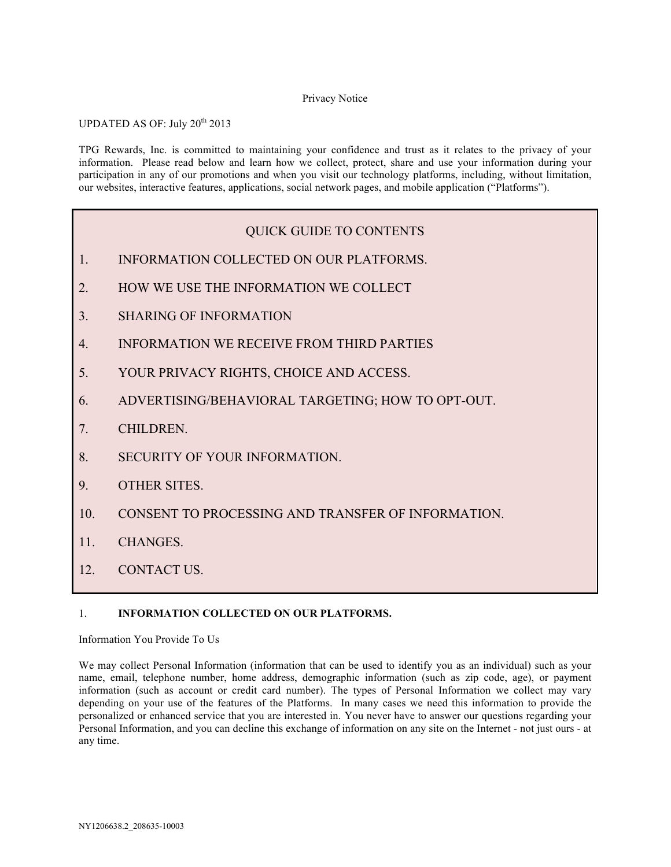#### Privacy Notice

UPDATED AS OF: July 20<sup>th</sup> 2013

TPG Rewards, Inc. is committed to maintaining your confidence and trust as it relates to the privacy of your information. Please read below and learn how we collect, protect, share and use your information during your participation in any of our promotions and when you visit our technology platforms, including, without limitation, our websites, interactive features, applications, social network pages, and mobile application ("Platforms").

# QUICK GUIDE TO CONTENTS

- 1. INFORMATION COLLECTED ON OUR PLATFORMS.
- 2. HOW WE USE THE INFORMATION WE COLLECT
- 3. SHARING OF INFORMATION
- 4. INFORMATION WE RECEIVE FROM THIRD PARTIES
- 5. YOUR PRIVACY RIGHTS, CHOICE AND ACCESS.
- 6. ADVERTISING/BEHAVIORAL TARGETING; HOW TO OPT-OUT.
- 7. CHILDREN.
- 8. SECURITY OF YOUR INFORMATION.
- 9. OTHER SITES.
- 10. CONSENT TO PROCESSING AND TRANSFER OF INFORMATION.
- 11. CHANGES.
- 12. CONTACT US.

# 1. **INFORMATION COLLECTED ON OUR PLATFORMS.**

Information You Provide To Us

We may collect Personal Information (information that can be used to identify you as an individual) such as your name, email, telephone number, home address, demographic information (such as zip code, age), or payment information (such as account or credit card number). The types of Personal Information we collect may vary depending on your use of the features of the Platforms. In many cases we need this information to provide the personalized or enhanced service that you are interested in. You never have to answer our questions regarding your Personal Information, and you can decline this exchange of information on any site on the Internet - not just ours - at any time.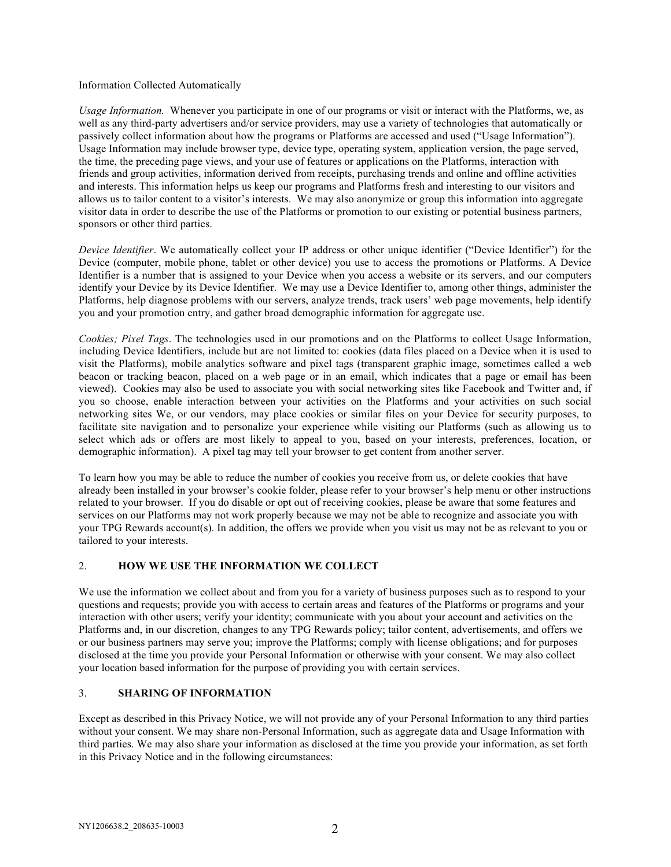#### Information Collected Automatically

*Usage Information.* Whenever you participate in one of our programs or visit or interact with the Platforms, we, as well as any third-party advertisers and/or service providers, may use a variety of technologies that automatically or passively collect information about how the programs or Platforms are accessed and used ("Usage Information"). Usage Information may include browser type, device type, operating system, application version, the page served, the time, the preceding page views, and your use of features or applications on the Platforms, interaction with friends and group activities, information derived from receipts, purchasing trends and online and offline activities and interests. This information helps us keep our programs and Platforms fresh and interesting to our visitors and allows us to tailor content to a visitor's interests. We may also anonymize or group this information into aggregate visitor data in order to describe the use of the Platforms or promotion to our existing or potential business partners, sponsors or other third parties.

*Device Identifier*. We automatically collect your IP address or other unique identifier ("Device Identifier") for the Device (computer, mobile phone, tablet or other device) you use to access the promotions or Platforms. A Device Identifier is a number that is assigned to your Device when you access a website or its servers, and our computers identify your Device by its Device Identifier. We may use a Device Identifier to, among other things, administer the Platforms, help diagnose problems with our servers, analyze trends, track users' web page movements, help identify you and your promotion entry, and gather broad demographic information for aggregate use.

*Cookies; Pixel Tags*. The technologies used in our promotions and on the Platforms to collect Usage Information, including Device Identifiers, include but are not limited to: cookies (data files placed on a Device when it is used to visit the Platforms), mobile analytics software and pixel tags (transparent graphic image, sometimes called a web beacon or tracking beacon, placed on a web page or in an email, which indicates that a page or email has been viewed). Cookies may also be used to associate you with social networking sites like Facebook and Twitter and, if you so choose, enable interaction between your activities on the Platforms and your activities on such social networking sites We, or our vendors, may place cookies or similar files on your Device for security purposes, to facilitate site navigation and to personalize your experience while visiting our Platforms (such as allowing us to select which ads or offers are most likely to appeal to you, based on your interests, preferences, location, or demographic information). A pixel tag may tell your browser to get content from another server.

To learn how you may be able to reduce the number of cookies you receive from us, or delete cookies that have already been installed in your browser's cookie folder, please refer to your browser's help menu or other instructions related to your browser. If you do disable or opt out of receiving cookies, please be aware that some features and services on our Platforms may not work properly because we may not be able to recognize and associate you with your TPG Rewards account(s). In addition, the offers we provide when you visit us may not be as relevant to you or tailored to your interests.

#### 2. **HOW WE USE THE INFORMATION WE COLLECT**

We use the information we collect about and from you for a variety of business purposes such as to respond to your questions and requests; provide you with access to certain areas and features of the Platforms or programs and your interaction with other users; verify your identity; communicate with you about your account and activities on the Platforms and, in our discretion, changes to any TPG Rewards policy; tailor content, advertisements, and offers we or our business partners may serve you; improve the Platforms; comply with license obligations; and for purposes disclosed at the time you provide your Personal Information or otherwise with your consent. We may also collect your location based information for the purpose of providing you with certain services.

#### 3. **SHARING OF INFORMATION**

Except as described in this Privacy Notice, we will not provide any of your Personal Information to any third parties without your consent. We may share non-Personal Information, such as aggregate data and Usage Information with third parties. We may also share your information as disclosed at the time you provide your information, as set forth in this Privacy Notice and in the following circumstances: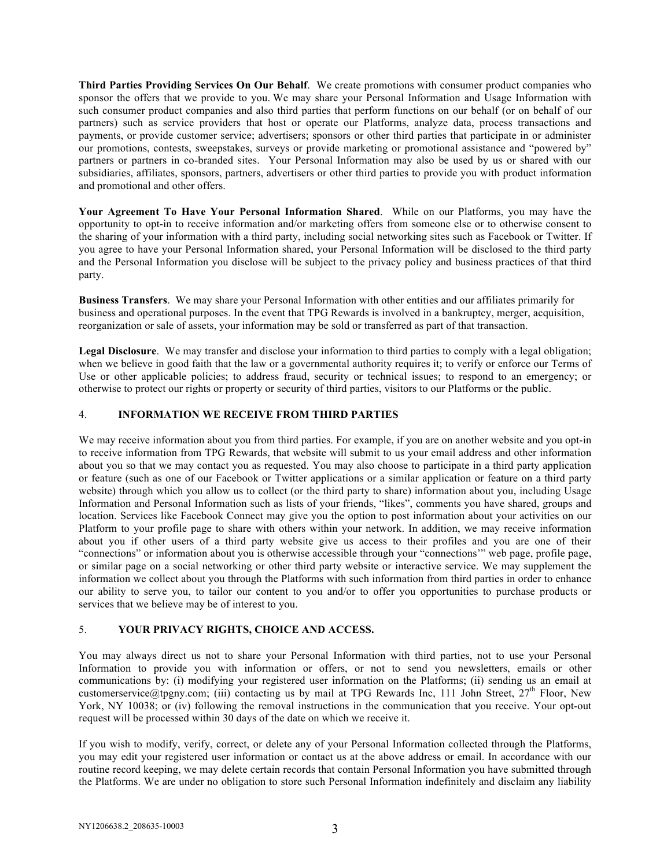**Third Parties Providing Services On Our Behalf**. We create promotions with consumer product companies who sponsor the offers that we provide to you. We may share your Personal Information and Usage Information with such consumer product companies and also third parties that perform functions on our behalf (or on behalf of our partners) such as service providers that host or operate our Platforms, analyze data, process transactions and payments, or provide customer service; advertisers; sponsors or other third parties that participate in or administer our promotions, contests, sweepstakes, surveys or provide marketing or promotional assistance and "powered by" partners or partners in co-branded sites. Your Personal Information may also be used by us or shared with our subsidiaries, affiliates, sponsors, partners, advertisers or other third parties to provide you with product information and promotional and other offers.

**Your Agreement To Have Your Personal Information Shared**. While on our Platforms, you may have the opportunity to opt-in to receive information and/or marketing offers from someone else or to otherwise consent to the sharing of your information with a third party, including social networking sites such as Facebook or Twitter. If you agree to have your Personal Information shared, your Personal Information will be disclosed to the third party and the Personal Information you disclose will be subject to the privacy policy and business practices of that third party.

**Business Transfers**. We may share your Personal Information with other entities and our affiliates primarily for business and operational purposes. In the event that TPG Rewards is involved in a bankruptcy, merger, acquisition, reorganization or sale of assets, your information may be sold or transferred as part of that transaction.

Legal Disclosure. We may transfer and disclose your information to third parties to comply with a legal obligation; when we believe in good faith that the law or a governmental authority requires it; to verify or enforce our Terms of Use or other applicable policies; to address fraud, security or technical issues; to respond to an emergency; or otherwise to protect our rights or property or security of third parties, visitors to our Platforms or the public.

#### 4. **INFORMATION WE RECEIVE FROM THIRD PARTIES**

We may receive information about you from third parties. For example, if you are on another website and you opt-in to receive information from TPG Rewards, that website will submit to us your email address and other information about you so that we may contact you as requested. You may also choose to participate in a third party application or feature (such as one of our Facebook or Twitter applications or a similar application or feature on a third party website) through which you allow us to collect (or the third party to share) information about you, including Usage Information and Personal Information such as lists of your friends, "likes", comments you have shared, groups and location. Services like Facebook Connect may give you the option to post information about your activities on our Platform to your profile page to share with others within your network. In addition, we may receive information about you if other users of a third party website give us access to their profiles and you are one of their "connections" or information about you is otherwise accessible through your "connections'" web page, profile page, or similar page on a social networking or other third party website or interactive service. We may supplement the information we collect about you through the Platforms with such information from third parties in order to enhance our ability to serve you, to tailor our content to you and/or to offer you opportunities to purchase products or services that we believe may be of interest to you.

# 5. **YOUR PRIVACY RIGHTS, CHOICE AND ACCESS.**

You may always direct us not to share your Personal Information with third parties, not to use your Personal Information to provide you with information or offers, or not to send you newsletters, emails or other communications by: (i) modifying your registered user information on the Platforms; (ii) sending us an email at customerservice@tpgny.com; (iii) contacting us by mail at TPG Rewards Inc, 111 John Street,  $27<sup>th</sup>$  Floor, New York, NY 10038; or (iv) following the removal instructions in the communication that you receive. Your opt-out request will be processed within 30 days of the date on which we receive it.

If you wish to modify, verify, correct, or delete any of your Personal Information collected through the Platforms, you may edit your registered user information or contact us at the above address or email. In accordance with our routine record keeping, we may delete certain records that contain Personal Information you have submitted through the Platforms. We are under no obligation to store such Personal Information indefinitely and disclaim any liability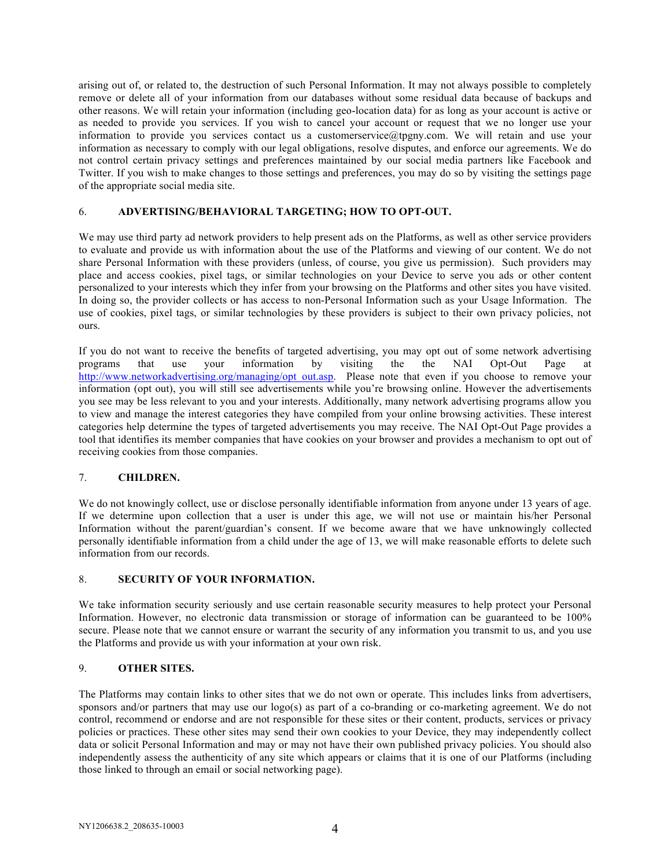arising out of, or related to, the destruction of such Personal Information. It may not always possible to completely remove or delete all of your information from our databases without some residual data because of backups and other reasons. We will retain your information (including geo-location data) for as long as your account is active or as needed to provide you services. If you wish to cancel your account or request that we no longer use your information to provide you services contact us a customerservice@tpgny.com. We will retain and use your information as necessary to comply with our legal obligations, resolve disputes, and enforce our agreements. We do not control certain privacy settings and preferences maintained by our social media partners like Facebook and Twitter. If you wish to make changes to those settings and preferences, you may do so by visiting the settings page of the appropriate social media site.

#### 6. **ADVERTISING/BEHAVIORAL TARGETING; HOW TO OPT-OUT.**

We may use third party ad network providers to help present ads on the Platforms, as well as other service providers to evaluate and provide us with information about the use of the Platforms and viewing of our content. We do not share Personal Information with these providers (unless, of course, you give us permission). Such providers may place and access cookies, pixel tags, or similar technologies on your Device to serve you ads or other content personalized to your interests which they infer from your browsing on the Platforms and other sites you have visited. In doing so, the provider collects or has access to non-Personal Information such as your Usage Information. The use of cookies, pixel tags, or similar technologies by these providers is subject to their own privacy policies, not ours.

If you do not want to receive the benefits of targeted advertising, you may opt out of some network advertising programs that use your information by visiting the the NAI Opt-Out Page at http://www.networkadvertising.org/managing/opt\_out.asp. Please note that even if you choose to remove your information (opt out), you will still see advertisements while you're browsing online. However the advertisements you see may be less relevant to you and your interests. Additionally, many network advertising programs allow you to view and manage the interest categories they have compiled from your online browsing activities. These interest categories help determine the types of targeted advertisements you may receive. The NAI Opt-Out Page provides a tool that identifies its member companies that have cookies on your browser and provides a mechanism to opt out of receiving cookies from those companies.

#### 7. **CHILDREN.**

We do not knowingly collect, use or disclose personally identifiable information from anyone under 13 years of age. If we determine upon collection that a user is under this age, we will not use or maintain his/her Personal Information without the parent/guardian's consent. If we become aware that we have unknowingly collected personally identifiable information from a child under the age of 13, we will make reasonable efforts to delete such information from our records.

#### 8. **SECURITY OF YOUR INFORMATION.**

We take information security seriously and use certain reasonable security measures to help protect your Personal Information. However, no electronic data transmission or storage of information can be guaranteed to be 100% secure. Please note that we cannot ensure or warrant the security of any information you transmit to us, and you use the Platforms and provide us with your information at your own risk.

#### 9. **OTHER SITES.**

The Platforms may contain links to other sites that we do not own or operate. This includes links from advertisers, sponsors and/or partners that may use our logo(s) as part of a co-branding or co-marketing agreement. We do not control, recommend or endorse and are not responsible for these sites or their content, products, services or privacy policies or practices. These other sites may send their own cookies to your Device, they may independently collect data or solicit Personal Information and may or may not have their own published privacy policies. You should also independently assess the authenticity of any site which appears or claims that it is one of our Platforms (including those linked to through an email or social networking page).